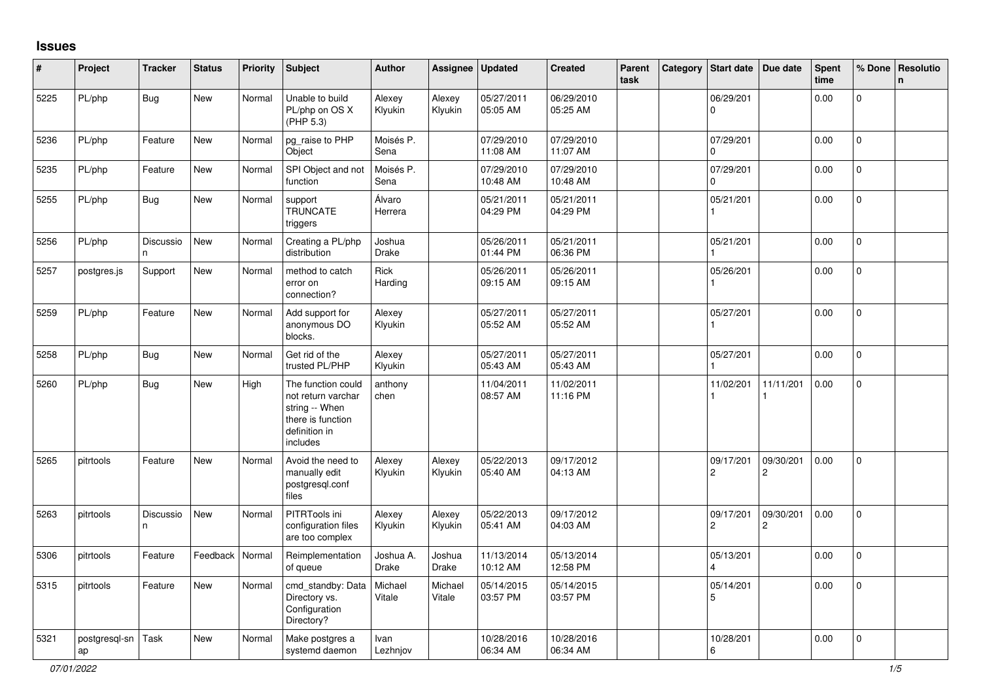## **Issues**

| #    | Project             | <b>Tracker</b>  | <b>Status</b> | <b>Priority</b> | <b>Subject</b>                                                                                               | <b>Author</b>      | Assignee               | <b>Updated</b>         | <b>Created</b>         | Parent<br>task | Category | Start date                           | Due date                    | Spent<br>time | % Done       | Resolutio<br>$\mathsf{n}$ |
|------|---------------------|-----------------|---------------|-----------------|--------------------------------------------------------------------------------------------------------------|--------------------|------------------------|------------------------|------------------------|----------------|----------|--------------------------------------|-----------------------------|---------------|--------------|---------------------------|
| 5225 | PL/php              | <b>Bug</b>      | <b>New</b>    | Normal          | Unable to build<br>PL/php on OS X<br>(PHP 5.3)                                                               | Alexey<br>Klyukin  | Alexey<br>Klyukin      | 05/27/2011<br>05:05 AM | 06/29/2010<br>05:25 AM |                |          | 06/29/201<br>$\Omega$                |                             | 0.00          | $\Omega$     |                           |
| 5236 | PL/php              | Feature         | New           | Normal          | pg_raise to PHP<br>Object                                                                                    | Moisés P.<br>Sena  |                        | 07/29/2010<br>11:08 AM | 07/29/2010<br>11:07 AM |                |          | 07/29/201<br>$\Omega$                |                             | 0.00          | $\Omega$     |                           |
| 5235 | PL/php              | Feature         | <b>New</b>    | Normal          | SPI Object and not<br>function                                                                               | Moisés P.<br>Sena  |                        | 07/29/2010<br>10:48 AM | 07/29/2010<br>10:48 AM |                |          | 07/29/201<br>0                       |                             | 0.00          | $\mathbf{0}$ |                           |
| 5255 | PL/php              | <b>Bug</b>      | <b>New</b>    | Normal          | support<br><b>TRUNCATE</b><br>triggers                                                                       | Álvaro<br>Herrera  |                        | 05/21/2011<br>04:29 PM | 05/21/2011<br>04:29 PM |                |          | 05/21/201                            |                             | 0.00          | $\mathbf 0$  |                           |
| 5256 | PL/php              | Discussio<br>n. | New           | Normal          | Creating a PL/php<br>distribution                                                                            | Joshua<br>Drake    |                        | 05/26/2011<br>01:44 PM | 05/21/2011<br>06:36 PM |                |          | 05/21/201                            |                             | 0.00          | $\mathbf{0}$ |                           |
| 5257 | postgres.js         | Support         | New           | Normal          | method to catch<br>error on<br>connection?                                                                   | Rick<br>Harding    |                        | 05/26/2011<br>09:15 AM | 05/26/2011<br>09:15 AM |                |          | 05/26/201                            |                             | 0.00          | 0            |                           |
| 5259 | PL/php              | Feature         | New           | Normal          | Add support for<br>anonymous DO<br>blocks.                                                                   | Alexey<br>Klyukin  |                        | 05/27/2011<br>05:52 AM | 05/27/2011<br>05:52 AM |                |          | 05/27/201                            |                             | 0.00          | $\mathbf{0}$ |                           |
| 5258 | PL/php              | <b>Bug</b>      | <b>New</b>    | Normal          | Get rid of the<br>trusted PL/PHP                                                                             | Alexey<br>Klyukin  |                        | 05/27/2011<br>05:43 AM | 05/27/2011<br>05:43 AM |                |          | 05/27/201                            |                             | 0.00          | $\Omega$     |                           |
| 5260 | PL/php              | <b>Bug</b>      | <b>New</b>    | High            | The function could<br>not return varchar<br>string -- When<br>there is function<br>definition in<br>includes | anthony<br>chen    |                        | 11/04/2011<br>08:57 AM | 11/02/2011<br>11:16 PM |                |          | 11/02/201                            | 11/11/201                   | 0.00          | $\mathbf 0$  |                           |
| 5265 | pitrtools           | Feature         | New           | Normal          | Avoid the need to<br>manually edit<br>postgresql.conf<br>files                                               | Alexey<br>Klyukin  | Alexey<br>Klyukin      | 05/22/2013<br>05:40 AM | 09/17/2012<br>04:13 AM |                |          | 09/17/201<br>$\overline{2}$          | 09/30/201<br>$\overline{2}$ | 0.00          | $\Omega$     |                           |
| 5263 | pitrtools           | Discussio<br>n. | New           | Normal          | PITRTools ini<br>configuration files<br>are too complex                                                      | Alexey<br>Klyukin  | Alexey<br>Klyukin      | 05/22/2013<br>05:41 AM | 09/17/2012<br>04:03 AM |                |          | 09/17/201<br>$\mathbf{2}$            | 09/30/201<br>$\overline{c}$ | 0.00          | $\mathbf{0}$ |                           |
| 5306 | pitrtools           | Feature         | Feedback      | Normal          | Reimplementation<br>of queue                                                                                 | Joshua A.<br>Drake | Joshua<br><b>Drake</b> | 11/13/2014<br>10:12 AM | 05/13/2014<br>12:58 PM |                |          | 05/13/201<br>$\overline{\mathbf{A}}$ |                             | 0.00          | 0            |                           |
| 5315 | pitrtools           | Feature         | New           | Normal          | cmd_standby: Data<br>Directory vs.<br>Configuration<br>Directory?                                            | Michael<br>Vitale  | Michael<br>Vitale      | 05/14/2015<br>03:57 PM | 05/14/2015<br>03:57 PM |                |          | 05/14/201<br>5                       |                             | 0.00          | $\mathbf 0$  |                           |
| 5321 | postgresql-sn<br>ap | Task            | New           | Normal          | Make postgres a<br>systemd daemon                                                                            | Ivan<br>Lezhnjov   |                        | 10/28/2016<br>06:34 AM | 10/28/2016<br>06:34 AM |                |          | 10/28/201<br>6                       |                             | 0.00          | 0            |                           |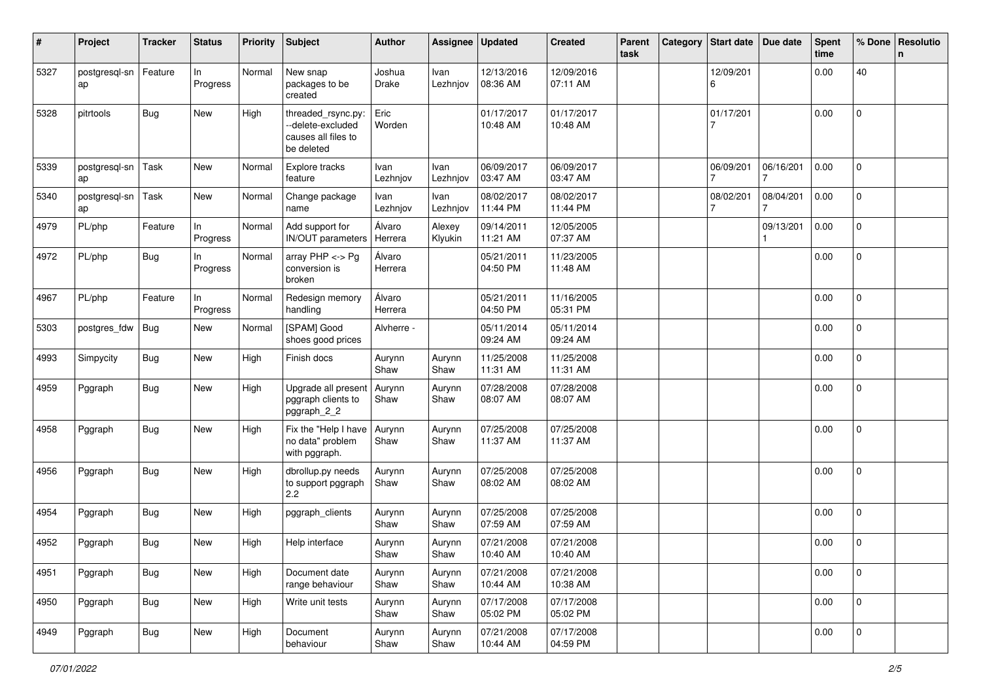| #    | Project             | <b>Tracker</b> | <b>Status</b>   | <b>Priority</b> | <b>Subject</b>                                                               | <b>Author</b>     | <b>Assignee</b>   | <b>Updated</b>         | <b>Created</b>         | Parent<br>task | Category | Start date   Due date |           | <b>Spent</b><br>time | % Done         | Resolutio<br>n |
|------|---------------------|----------------|-----------------|-----------------|------------------------------------------------------------------------------|-------------------|-------------------|------------------------|------------------------|----------------|----------|-----------------------|-----------|----------------------|----------------|----------------|
| 5327 | postgresql-sn<br>ap | Feature        | In<br>Progress  | Normal          | New snap<br>packages to be<br>created                                        | Joshua<br>Drake   | Ivan<br>Lezhnjov  | 12/13/2016<br>08:36 AM | 12/09/2016<br>07:11 AM |                |          | 12/09/201<br>6        |           | 0.00                 | 40             |                |
| 5328 | pitrtools           | <b>Bug</b>     | New             | High            | threaded_rsync.py:<br>--delete-excluded<br>causes all files to<br>be deleted | Eric<br>Worden    |                   | 01/17/2017<br>10:48 AM | 01/17/2017<br>10:48 AM |                |          | 01/17/201<br>7        |           | 0.00                 | $\mathbf 0$    |                |
| 5339 | postgresql-sn<br>ap | Task           | New             | Normal          | Explore tracks<br>feature                                                    | Ivan<br>Lezhnjov  | Ivan<br>Lezhnjov  | 06/09/2017<br>03:47 AM | 06/09/2017<br>03:47 AM |                |          | 06/09/201             | 06/16/201 | 0.00                 | $\overline{0}$ |                |
| 5340 | postgresql-sn<br>ap | Task           | New             | Normal          | Change package<br>name                                                       | Ivan<br>Lezhnjov  | Ivan<br>Lezhnjov  | 08/02/2017<br>11:44 PM | 08/02/2017<br>11:44 PM |                |          | 08/02/201             | 08/04/201 | 0.00                 | $\mathbf{0}$   |                |
| 4979 | PL/php              | Feature        | ln.<br>Progress | Normal          | Add support for<br><b>IN/OUT</b> parameters                                  | Álvaro<br>Herrera | Alexey<br>Klyukin | 09/14/2011<br>11:21 AM | 12/05/2005<br>07:37 AM |                |          |                       | 09/13/201 | 0.00                 | $\mathbf{0}$   |                |
| 4972 | PL/php              | <b>Bug</b>     | In<br>Progress  | Normal          | array PHP <-> Pg<br>conversion is<br>broken                                  | Álvaro<br>Herrera |                   | 05/21/2011<br>04:50 PM | 11/23/2005<br>11:48 AM |                |          |                       |           | 0.00                 | $\overline{0}$ |                |
| 4967 | PL/php              | Feature        | ln.<br>Progress | Normal          | Redesign memory<br>handling                                                  | Álvaro<br>Herrera |                   | 05/21/2011<br>04:50 PM | 11/16/2005<br>05:31 PM |                |          |                       |           | 0.00                 | 0              |                |
| 5303 | postgres_fdw        | <b>Bug</b>     | New             | Normal          | [SPAM] Good<br>shoes good prices                                             | Alvherre -        |                   | 05/11/2014<br>09:24 AM | 05/11/2014<br>09:24 AM |                |          |                       |           | 0.00                 | 0              |                |
| 4993 | Simpycity           | <b>Bug</b>     | New             | High            | Finish docs                                                                  | Aurynn<br>Shaw    | Aurynn<br>Shaw    | 11/25/2008<br>11:31 AM | 11/25/2008<br>11:31 AM |                |          |                       |           | 0.00                 | 0              |                |
| 4959 | Pggraph             | <b>Bug</b>     | New             | High            | Upgrade all present<br>pggraph clients to<br>pggraph_2_2                     | Aurynn<br>Shaw    | Aurynn<br>Shaw    | 07/28/2008<br>08:07 AM | 07/28/2008<br>08:07 AM |                |          |                       |           | 0.00                 | $\mathbf{0}$   |                |
| 4958 | Pggraph             | Bug            | New             | High            | Fix the "Help I have<br>no data" problem<br>with pggraph.                    | Aurynn<br>Shaw    | Aurynn<br>Shaw    | 07/25/2008<br>11:37 AM | 07/25/2008<br>11:37 AM |                |          |                       |           | 0.00                 | $\Omega$       |                |
| 4956 | Pggraph             | Bug            | New             | High            | dbrollup.py needs<br>to support pggraph<br>2.2                               | Aurynn<br>Shaw    | Aurynn<br>Shaw    | 07/25/2008<br>08:02 AM | 07/25/2008<br>08:02 AM |                |          |                       |           | 0.00                 | $\overline{0}$ |                |
| 4954 | Pggraph             | <b>Bug</b>     | New             | High            | pggraph clients                                                              | Aurynn<br>Shaw    | Aurynn<br>Shaw    | 07/25/2008<br>07:59 AM | 07/25/2008<br>07:59 AM |                |          |                       |           | 0.00                 | $\overline{0}$ |                |
| 4952 | Pggraph             | <b>Bug</b>     | New             | High            | Help interface                                                               | Aurynn<br>Shaw    | Aurynn<br>Shaw    | 07/21/2008<br>10:40 AM | 07/21/2008<br>10:40 AM |                |          |                       |           | 0.00                 | $\mathbf{0}$   |                |
| 4951 | Pggraph             | Bug            | New             | High            | Document date<br>range behaviour                                             | Aurynn<br>Shaw    | Aurynn<br>Shaw    | 07/21/2008<br>10:44 AM | 07/21/2008<br>10:38 AM |                |          |                       |           | 0.00                 | $\mathbf 0$    |                |
| 4950 | Pggraph             | <b>Bug</b>     | New             | High            | Write unit tests                                                             | Aurynn<br>Shaw    | Aurynn<br>Shaw    | 07/17/2008<br>05:02 PM | 07/17/2008<br>05:02 PM |                |          |                       |           | 0.00                 | $\mathsf 0$    |                |
| 4949 | Pggraph             | <b>Bug</b>     | New             | High            | Document<br>behaviour                                                        | Aurynn<br>Shaw    | Aurynn<br>Shaw    | 07/21/2008<br>10:44 AM | 07/17/2008<br>04:59 PM |                |          |                       |           | 0.00                 | 0              |                |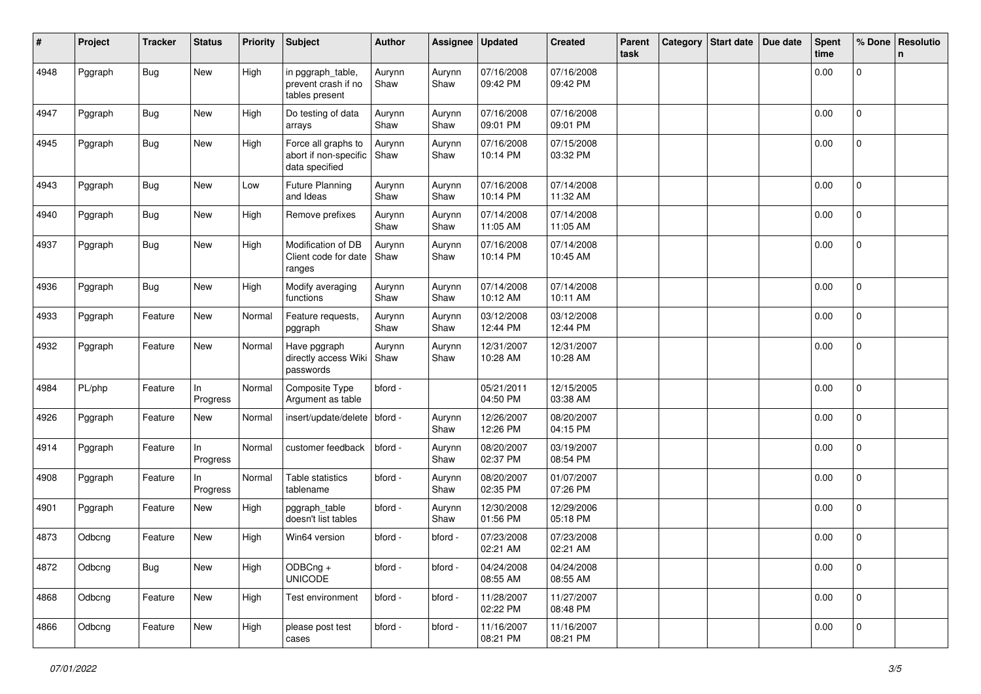| #    | Project | <b>Tracker</b> | <b>Status</b>  | <b>Priority</b> | <b>Subject</b>                                                 | Author         | Assignee       | Updated                | <b>Created</b>         | Parent<br>task | Category | Start date   Due date | Spent<br>time | % Done         | Resolutio<br>n. |
|------|---------|----------------|----------------|-----------------|----------------------------------------------------------------|----------------|----------------|------------------------|------------------------|----------------|----------|-----------------------|---------------|----------------|-----------------|
| 4948 | Pggraph | <b>Bug</b>     | New            | High            | in pggraph table,<br>prevent crash if no<br>tables present     | Aurynn<br>Shaw | Aurynn<br>Shaw | 07/16/2008<br>09:42 PM | 07/16/2008<br>09:42 PM |                |          |                       | 0.00          | $\mathbf 0$    |                 |
| 4947 | Pggraph | <b>Bug</b>     | New            | High            | Do testing of data<br>arrays                                   | Aurynn<br>Shaw | Aurynn<br>Shaw | 07/16/2008<br>09:01 PM | 07/16/2008<br>09:01 PM |                |          |                       | 0.00          | $\mathbf 0$    |                 |
| 4945 | Pggraph | <b>Bug</b>     | New            | High            | Force all graphs to<br>abort if non-specific<br>data specified | Aurynn<br>Shaw | Aurynn<br>Shaw | 07/16/2008<br>10:14 PM | 07/15/2008<br>03:32 PM |                |          |                       | 0.00          | $\mathbf 0$    |                 |
| 4943 | Pggraph | <b>Bug</b>     | New            | Low             | <b>Future Planning</b><br>and Ideas                            | Aurynn<br>Shaw | Aurynn<br>Shaw | 07/16/2008<br>10:14 PM | 07/14/2008<br>11:32 AM |                |          |                       | 0.00          | $\mathbf{0}$   |                 |
| 4940 | Pggraph | <b>Bug</b>     | New            | High            | Remove prefixes                                                | Aurynn<br>Shaw | Aurynn<br>Shaw | 07/14/2008<br>11:05 AM | 07/14/2008<br>11:05 AM |                |          |                       | 0.00          | 0              |                 |
| 4937 | Pggraph | <b>Bug</b>     | New            | High            | Modification of DB<br>Client code for date<br>ranges           | Aurynn<br>Shaw | Aurynn<br>Shaw | 07/16/2008<br>10:14 PM | 07/14/2008<br>10:45 AM |                |          |                       | 0.00          | $\mathbf 0$    |                 |
| 4936 | Pggraph | <b>Bug</b>     | New            | High            | Modify averaging<br>functions                                  | Aurynn<br>Shaw | Aurynn<br>Shaw | 07/14/2008<br>10:12 AM | 07/14/2008<br>10:11 AM |                |          |                       | 0.00          | 0              |                 |
| 4933 | Pggraph | Feature        | New            | Normal          | Feature requests,<br>pggraph                                   | Aurynn<br>Shaw | Aurynn<br>Shaw | 03/12/2008<br>12:44 PM | 03/12/2008<br>12:44 PM |                |          |                       | 0.00          | $\mathbf 0$    |                 |
| 4932 | Pggraph | Feature        | New            | Normal          | Have pggraph<br>directly access Wiki<br>passwords              | Aurynn<br>Shaw | Aurynn<br>Shaw | 12/31/2007<br>10:28 AM | 12/31/2007<br>10:28 AM |                |          |                       | 0.00          | $\mathbf{0}$   |                 |
| 4984 | PL/php  | Feature        | In<br>Progress | Normal          | Composite Type<br>Argument as table                            | bford -        |                | 05/21/2011<br>04:50 PM | 12/15/2005<br>03:38 AM |                |          |                       | 0.00          | $\Omega$       |                 |
| 4926 | Pggraph | Feature        | New            | Normal          | insert/update/delete                                           | bford -        | Aurynn<br>Shaw | 12/26/2007<br>12:26 PM | 08/20/2007<br>04:15 PM |                |          |                       | 0.00          | 0              |                 |
| 4914 | Pggraph | Feature        | In<br>Progress | Normal          | customer feedback                                              | bford -        | Aurynn<br>Shaw | 08/20/2007<br>02:37 PM | 03/19/2007<br>08:54 PM |                |          |                       | 0.00          | $\mathbf 0$    |                 |
| 4908 | Pggraph | Feature        | In<br>Progress | Normal          | Table statistics<br>tablename                                  | bford -        | Aurynn<br>Shaw | 08/20/2007<br>02:35 PM | 01/07/2007<br>07:26 PM |                |          |                       | 0.00          | $\mathbf 0$    |                 |
| 4901 | Pggraph | Feature        | New            | High            | pggraph_table<br>doesn't list tables                           | bford -        | Aurynn<br>Shaw | 12/30/2008<br>01:56 PM | 12/29/2006<br>05:18 PM |                |          |                       | 0.00          | $\mathbf 0$    |                 |
| 4873 | Odbcng  | Feature        | New            | High            | Win64 version                                                  | bford -        | bford -        | 07/23/2008<br>02:21 AM | 07/23/2008<br>02:21 AM |                |          |                       | 0.00          | 0              |                 |
| 4872 | Odbcng  | <b>Bug</b>     | New            | High            | $ODBCng +$<br><b>UNICODE</b>                                   | bford -        | bford -        | 04/24/2008<br>08:55 AM | 04/24/2008<br>08:55 AM |                |          |                       | 0.00          | $\mathsf 0$    |                 |
| 4868 | Odbcng  | Feature        | New            | High            | Test environment                                               | bford -        | bford -        | 11/28/2007<br>02:22 PM | 11/27/2007<br>08:48 PM |                |          |                       | 0.00          | $\mathsf 0$    |                 |
| 4866 | Odbcng  | Feature        | New            | High            | please post test<br>cases                                      | bford -        | bford -        | 11/16/2007<br>08:21 PM | 11/16/2007<br>08:21 PM |                |          |                       | 0.00          | $\overline{0}$ |                 |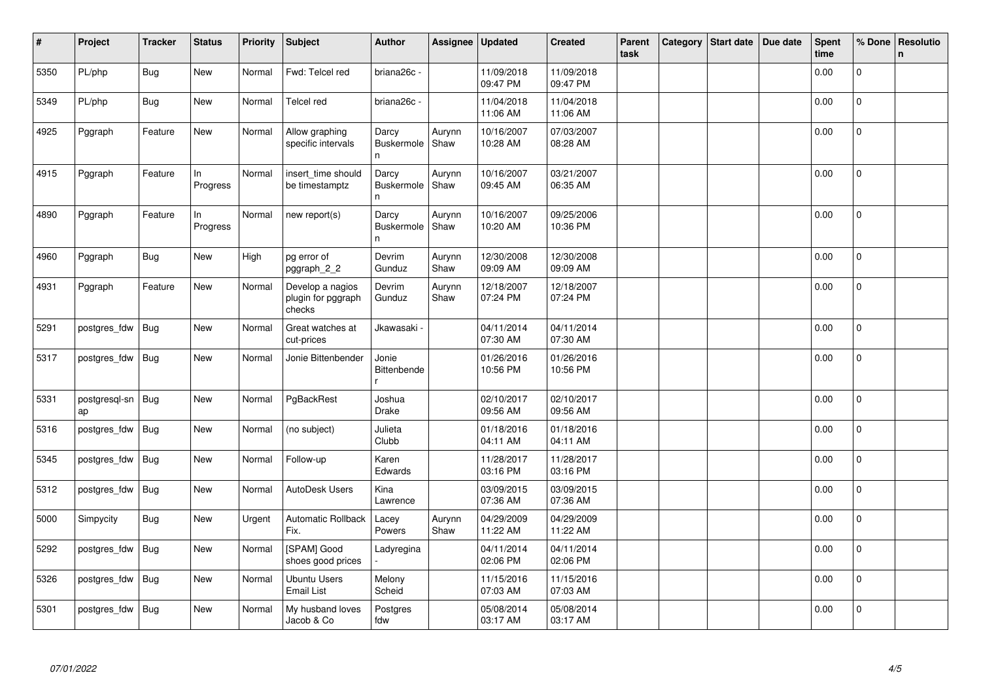| $\pmb{\sharp}$ | Project             | <b>Tracker</b> | <b>Status</b>  | <b>Priority</b> | Subject                                          | <b>Author</b>                              | Assignee       | Updated                | <b>Created</b>         | Parent<br>task | Category | Start date | Due date | <b>Spent</b><br>time | % Done         | Resolutio<br>$\mathbf n$ |
|----------------|---------------------|----------------|----------------|-----------------|--------------------------------------------------|--------------------------------------------|----------------|------------------------|------------------------|----------------|----------|------------|----------|----------------------|----------------|--------------------------|
| 5350           | PL/php              | <b>Bug</b>     | New            | Normal          | Fwd: Telcel red                                  | briana26c -                                |                | 11/09/2018<br>09:47 PM | 11/09/2018<br>09:47 PM |                |          |            |          | 0.00                 | 0              |                          |
| 5349           | PL/php              | <b>Bug</b>     | New            | Normal          | Telcel red                                       | briana26c -                                |                | 11/04/2018<br>11:06 AM | 11/04/2018<br>11:06 AM |                |          |            |          | 0.00                 | $\pmb{0}$      |                          |
| 4925           | Pggraph             | Feature        | New            | Normal          | Allow graphing<br>specific intervals             | Darcy<br>Buskermole<br>n.                  | Aurynn<br>Shaw | 10/16/2007<br>10:28 AM | 07/03/2007<br>08:28 AM |                |          |            |          | 0.00                 | 0              |                          |
| 4915           | Pggraph             | Feature        | In<br>Progress | Normal          | insert_time should<br>be timestamptz             | Darcy<br><b>Buskermole</b><br>n.           | Aurynn<br>Shaw | 10/16/2007<br>09:45 AM | 03/21/2007<br>06:35 AM |                |          |            |          | 0.00                 | $\pmb{0}$      |                          |
| 4890           | Pggraph             | Feature        | ln<br>Progress | Normal          | new report(s)                                    | Darcy<br><b>Buskermole</b><br>$\mathsf{n}$ | Aurynn<br>Shaw | 10/16/2007<br>10:20 AM | 09/25/2006<br>10:36 PM |                |          |            |          | 0.00                 | $\Omega$       |                          |
| 4960           | Pggraph             | <b>Bug</b>     | New            | High            | pg error of<br>pggraph_2_2                       | Devrim<br>Gunduz                           | Aurynn<br>Shaw | 12/30/2008<br>09:09 AM | 12/30/2008<br>09:09 AM |                |          |            |          | 0.00                 | $\Omega$       |                          |
| 4931           | Pggraph             | Feature        | New            | Normal          | Develop a nagios<br>plugin for pggraph<br>checks | Devrim<br>Gunduz                           | Aurynn<br>Shaw | 12/18/2007<br>07:24 PM | 12/18/2007<br>07:24 PM |                |          |            |          | 0.00                 | 0              |                          |
| 5291           | postgres fdw        | <b>Bug</b>     | New            | Normal          | Great watches at<br>cut-prices                   | Jkawasaki -                                |                | 04/11/2014<br>07:30 AM | 04/11/2014<br>07:30 AM |                |          |            |          | 0.00                 | $\Omega$       |                          |
| 5317           | postgres_fdw        | <b>Bug</b>     | New            | Normal          | Jonie Bittenbender                               | Jonie<br>Bittenbende                       |                | 01/26/2016<br>10:56 PM | 01/26/2016<br>10:56 PM |                |          |            |          | 0.00                 | $\pmb{0}$      |                          |
| 5331           | postgresql-sn<br>ap | Bug            | New            | Normal          | PgBackRest                                       | Joshua<br><b>Drake</b>                     |                | 02/10/2017<br>09:56 AM | 02/10/2017<br>09:56 AM |                |          |            |          | 0.00                 | $\mathbf 0$    |                          |
| 5316           | postgres_fdw        | <b>Bug</b>     | <b>New</b>     | Normal          | (no subject)                                     | Julieta<br>Clubb                           |                | 01/18/2016<br>04:11 AM | 01/18/2016<br>04:11 AM |                |          |            |          | 0.00                 | $\mathbf 0$    |                          |
| 5345           | postgres fdw        | <b>Bug</b>     | <b>New</b>     | Normal          | Follow-up                                        | Karen<br>Edwards                           |                | 11/28/2017<br>03:16 PM | 11/28/2017<br>03:16 PM |                |          |            |          | 0.00                 | $\mathbf 0$    |                          |
| 5312           | postgres_fdw        | <b>Bug</b>     | New            | Normal          | AutoDesk Users                                   | Kina<br>Lawrence                           |                | 03/09/2015<br>07:36 AM | 03/09/2015<br>07:36 AM |                |          |            |          | 0.00                 | 0              |                          |
| 5000           | Simpycity           | <b>Bug</b>     | <b>New</b>     | Urgent          | <b>Automatic Rollback</b><br>Fix.                | Lacey<br>Powers                            | Aurynn<br>Shaw | 04/29/2009<br>11:22 AM | 04/29/2009<br>11:22 AM |                |          |            |          | 0.00                 | $\Omega$       |                          |
| 5292           | postgres_fdw        | <b>Bug</b>     | New            | Normal          | [SPAM] Good<br>shoes good prices                 | Ladyregina                                 |                | 04/11/2014<br>02:06 PM | 04/11/2014<br>02:06 PM |                |          |            |          | 0.00                 | $\mathbf 0$    |                          |
| 5326           | postgres_fdw        | <b>Bug</b>     | New            | Normal          | <b>Ubuntu Users</b><br><b>Email List</b>         | Melony<br>Scheid                           |                | 11/15/2016<br>07:03 AM | 11/15/2016<br>07:03 AM |                |          |            |          | 0.00                 | 0              |                          |
| 5301           | postgres_fdw        | <b>Bug</b>     | <b>New</b>     | Normal          | My husband loves<br>Jacob & Co                   | Postgres<br>fdw                            |                | 05/08/2014<br>03:17 AM | 05/08/2014<br>03:17 AM |                |          |            |          | 0.00                 | $\overline{0}$ |                          |